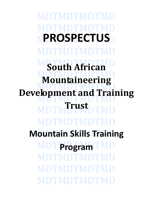DTMDTMDTM **PROSPECTUS** MDTMDTMD **South African Mountaineering Development and Training Trust** MDTMDTMDTN **Mountain Skills Training MDT** Program TMDTMDT DTMDTMDTI D'FMDTMD'I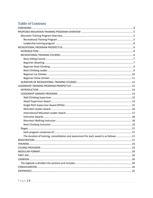# **Table of Contents**

| The duration of training, consolidation and assessment for each award is as follows: 21 |  |
|-----------------------------------------------------------------------------------------|--|
|                                                                                         |  |
|                                                                                         |  |
|                                                                                         |  |
|                                                                                         |  |
|                                                                                         |  |
|                                                                                         |  |
|                                                                                         |  |
|                                                                                         |  |
|                                                                                         |  |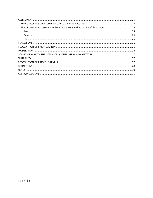| The Director of Assessment will endorse the candidate in one of three ways:  25 |  |
|---------------------------------------------------------------------------------|--|
|                                                                                 |  |
|                                                                                 |  |
|                                                                                 |  |
|                                                                                 |  |
|                                                                                 |  |
|                                                                                 |  |
|                                                                                 |  |
|                                                                                 |  |
|                                                                                 |  |
|                                                                                 |  |
|                                                                                 |  |
|                                                                                 |  |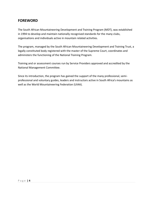# <span id="page-3-0"></span>**FOREWORD**

The South African Mountaineering Development and Training Program (MDT), was established in 1994 to develop and maintain nationally recognised standards for the many clubs, organisations and individuals active in mountain related activities.

The program, managed by the South African Mountaineering Development and Training Trust, a legally constituted body registered with the master of the Supreme Court, coordinates and administers the functioning of the National Training Program.

Training and or assessment courses run by Service Providers approved and accredited by the National Management Committee.

Since its introduction, the program has gained the support of the many professional, semiprofessional and voluntary guides, leaders and instructors active in South Africa's mountains as well as the World Mountaineering Federation (UIAA).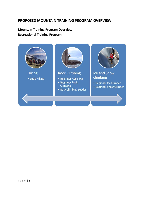# <span id="page-4-0"></span>**PROPOSED MOUNTAIN TRAINING PROGRAM OVERVIEW**

# <span id="page-4-2"></span><span id="page-4-1"></span>**Mountain Training Program Overview Recreational Training Program**

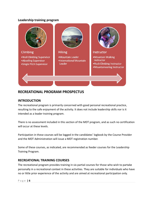# <span id="page-5-0"></span>**Leadership training program**



# <span id="page-5-1"></span>**RECREATIONAL PROGRAM PROSPECTUS**

# <span id="page-5-2"></span>**INTRODUCTION**

The recreational program is primarily concerned with good personal recreational practice, resulting to the safe enjoyment of the activity. It does not include leadership skills nor is it intended as a leader training program.

There is no assessment included in this section of the MDT program, and as such no certification will occur at these levels.

Participation in these courses will be logged in the candidates' logbook by the Course Provider and the MDT Administration will issue a MDT registration number.

Some of these courses, as indicated, are recommended as feeder courses for the Leadership Training Program.

# <span id="page-5-3"></span>**RECREATIONAL TRAINING COURSES**

The recreational program provides training in six partial courses for those who wish to partake personally in a recreational context in these activities. They are suitable for individuals who have no or little prior experience of the activity and are aimed at recreational participation only.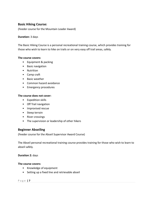# <span id="page-6-0"></span>**Basic Hiking Course:**

(Feeder course for the Mountain Leader Award)

## **Duration:** 3 days

The Basic Hiking Course is a personal recreational training course, which provides training for those who wish to learn to hike on trails or on very easy off trail areas, safely.

## **The course covers:**

- Equipment & packing
- Basic navigation
- Nutrition
- Camp craft
- Basic weather
- Common hazard avoidance
- Emergency procedures

#### **The course does not cover:**

- Expedition skills
- Off Trail navigation
- Improvised rescue
- Steep terrain
- River crossings
- The supervision or leadership of other hikers

## <span id="page-6-1"></span>**Beginner Abseiling**

(Feeder course for the Abseil Supervisor Award Course)

The Abseil personal recreational training course provides training for those who wish to learn to abseil safely.

## **Duration 2:** days

## **The course covers:**

- Knowledge of equipment
- Setting up a fixed line and retrievable abseil

#### P a g e **| 7**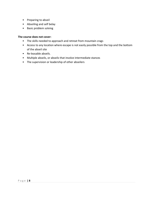- Preparing to abseil
- Abseiling and self belay
- Basic problem solving

## **The course does not cover:**

- The skills needed to approach and retreat from mountain crags
- Access to any location where escape is not easily possible from the top and the bottom of the abseil site
- Re-leasable abseils.
- Multiple abseils, or abseils that involve intermediate stances
- <span id="page-7-0"></span>• The supervision or leadership of other abseilers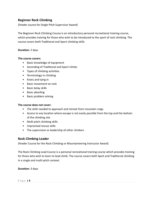# **Beginner Rock Climbing**

(Feeder course for Single Pitch Supervisor Award)

The Beginner Rock Climbing Course is an introductory personal recreational training course, which provides training for those who wish to be introduced to the sport of rock climbing. The course covers both Traditional and Sport climbing skills.

## **Duration:** 2 days

## **The course covers:**

- Basic knowledge of equipment
- Seconding of Traditional and Sport climbs
- Types of climbing activities
- Terminology in climbing
- Knots and tying in
- Basic movement on rock
- Basic belay skills
- Basic abseiling
- Basic problem solving

## **The course does not cover:**

- The skills needed to approach and retreat from mountain crags
- Access to any location where escape is not easily possible from the top and the bottom of the climbing site
- Multi pitch climbing skills
- Improvised rescue skills
- The supervision or leadership of other climbers

# <span id="page-8-0"></span>**Rock Climbing Leader**

(Feeder Course for the Rock Climbing or Mountaineering Instructor Award)

The Rock Climbing Lead Course is a personal recreational training course which provides training for those who wish to learn to lead climb. The course covers both Sport and Traditional climbing in a single and multi-pitch context.

**Duration:** 3 days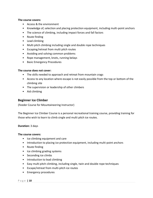#### **The course covers:**

- Access & the environment
- Knowledge of, selection and placing protection equipment, including multi-point anchors
- The science of climbing, including impact forces and fall factors
- Route finding
- Lead climbing
- Multi pitch climbing including single and double rope techniques
- Escaping/retreat from multi pitch routes
- Avoiding and solving common problems
- Rope management, knots, running belays
- Basic Emergency Procedures

## **The course does not cover:**

- The skills needed to approach and retreat from mountain crags
- Access to any location where escape is not easily possible from the top or bottom of the climbing site
- The supervision or leadership of other climbers
- Aid climbing

# <span id="page-9-0"></span>**Beginner Ice Climber**

(Feeder Course for Mountaineering Instructor)

The Beginner Ice Climber Course is a personal recreational training course, providing training for those who wish to learn to climb single and multi pitch ice routes.

## **Duration:** 3 days

## **The course covers:**

- Ice climbing equipment and care
- Introduction to placing ice protection equipment, including multi-point anchors
- Route finding
- Ice climbing grading systems
- Seconding ice climbs
- Introduction to lead climbing
- Easy multi pitch climbing, including single, twin and double rope techniques
- Escape/retreat from multi-pitch ice routes
- Emergency procedures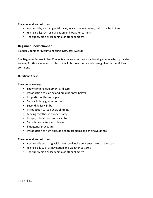## **The course does not cover:**

- Alpine skills; such as glacial travel, avalanche awareness, twin rope techniques
- Hiking skills; such as navigation and weather patterns
- The supervision or leadership of other climbers

## <span id="page-10-0"></span>**Beginner Snow-climber**

(Feeder Course for Mountaineering Instructor Award)

The Beginner Snow-climber Course is a personal recreational training course which provides training for those who wish to learn to climb snow climbs and snow gullies on the African continent.

## **Duration:** 3 days

## **The course covers:**

- Snow climbing equipment and care
- Introduction to placing and building snow belays
- Properties of the snow pack
- Snow climbing grading systems
- Seconding ice climbs
- Introduction to lead snow climbing
- Moving together in a roped party
- Escape/retreat from snow climbs
- Snow hole shelters and bivvies
- Emergency procedures
- Introduction to high altitude health problems and their avoidance

## **The course does not cover:**

- Alpine skills such as glacial travel, avalanche awareness, crevasse rescue
- Hiking skills such as navigation and weather patterns
- The supervision or leadership of other climbers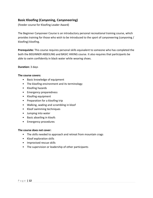# <span id="page-11-0"></span>**Basic Kloofing (Canyoning, Canyoneering)**

(Feeder course for Kloofing Leader Award)

The Beginner Canyoneer Course is an introductory personal recreational training course, which provides training for those who wish to be introduced to the sport of canyoneering (canyoning / kloofing) kloofing.

**Prerequisite:** This course requires personal skills equivalent to someone who has completed the both the BEGINNER ABSEILING and BASIC HIKING course. It also requires that participants be able to swim confidently in black water while wearing shoes.

## **Duration:** 3 days

## **The course covers:**

- Basic knowledge of equipment
- The kloofing environment and its terminology
- Kloofing hazards
- Emergency preparedness
- Kloofing equipment
- Preparation for a kloofing trip
- Walking, wading and scrambling in kloof
- Kloof swimming techniques
- Jumping into water
- Basic abseiling in kloofs
- Emergency procedures

## **The course does not cover:**

- The skills needed to approach and retreat from mountain crags
- Kloof exploration skills
- Improvised rescue skills
- The supervision or leadership of other participants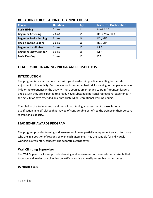# **DURATION OF RECREATIONAL TRAINING COURSES**

| <b>Course</b>                 | <b>Duration</b> | Age | <b>Instructor Qualification</b> |
|-------------------------------|-----------------|-----|---------------------------------|
| <b>Basic Hiking</b>           | 3 days          | 14  | MWL/KIA                         |
| <b>Beginner Abseiling</b>     | 2 days          | 14  | RCI / MIA / KIA                 |
| <b>Beginner Rock climbing</b> | 2 days          | 14  | RCI/MIA                         |
| <b>Rock climbing Leader</b>   | 3 days          | 16  | RCI/MIA                         |
| <b>Beginner Ice climber</b>   | 3 days          | 16  | <b>MIA</b>                      |
| <b>Beginner Snow climber</b>  | 3 days          | 16  | <b>MIA</b>                      |
| <b>Basic Kloofing</b>         | 3 days          | 16  | <b>KIA</b>                      |

# <span id="page-12-0"></span>**LEADERSHIP TRAINING PROGRAM PROSPECTUS**

## <span id="page-12-1"></span>**INTRODUCTION**

The program is primarily concerned with good leadership practice, resulting to the safe enjoyment of the activity. Courses are not intended as basic skills training for people who have little or no experience in the activity. These courses are intended to train "mountain leaders" and as such they are expected to already have substantial personal recreational experience in the activity or have attended an appropriate MDT Recreational Training Course.

Completion of a training course alone, without taking an assessment course, is not a qualification in itself, although it may be of considerable benefit to the trainee in their personal recreational capacity.

# <span id="page-12-2"></span>**LEADERSHIP AWARDS PROGRAM**

The program provides training and assessment in nine partially independent awards for those who are in a position of responsibility in each discipline. They are suitable for individuals working in a voluntary capacity. The separate awards cover:

# <span id="page-12-3"></span>**Wall Climbing Supervisor**

The Wall Supervisor Award provides training and assessment for those who supervise bolted top-rope and leader rock climbing on artificial walls and easily accessible natural crags.

## **Duration:** 2 days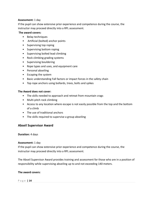## **Assessment:** 1 day

If the pupil can show extensive prior experience and competence during the course, the instructor may proceed directly into a RPL assessment.

## **The award covers:**

- Belay techniques
- Artificial (bolted) anchor points
- Supervising top roping
- Supervising bottom roping
- Supervising bolted lead climbing
- Rock climbing grading systems
- Supervising bouldering
- Rope types and uses, and equipment care
- Personal abseiling
- Escaping the system
- Basic understanding Fall factors or impact forces in the safety chain
- Top rope anchors using bollards, trees, bolts and spikes

## **The Award does not cover:**

- The skills needed to approach and retreat from mountain crags
- Multi-pitch rock climbing
- Access to any location where escape is not easily possible from the top and the bottom of a climb
- The use of traditional anchors
- The skills required to supervise a group abseiling

# <span id="page-13-0"></span>**Abseil Supervisor Award**

## **Duration:** 4 days

## **Assessment:** 1 day

If the pupil can show extensive prior experience and competence during the course, the instructor may proceed directly into a RPL assessment.

The Abseil Supervisor Award provides training and assessment for those who are in a position of responsibility while supervising abseiling up to and not exceeding 140 meters.

## **The award covers:**

#### P a g e **| 14**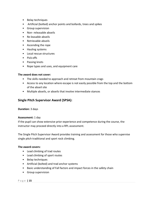- Belay techniques
- Artificial (bolted) anchor points and bollards, trees and spikes
- Group supervision
- Non- releasable abseils
- Re-leasable abseils
- Retrievable abseils
- Ascending the rope
- Hauling systems
- Local rescue structures
- Pick-offs
- Passing knots
- Rope types and uses, and equipment care

## **The award does not cover:**

- The skills needed to approach and retreat from mountain crags
- Access to any location where escape is not easily possible from the top and the bottom of the abseil site
- Multiple abseils, or abseils that involve intermediate stances

# <span id="page-14-0"></span>**Single Pitch Supervisor Award (SPSA):**

## **Duration:** 3 days

## **Assessment:** 1 day

If the pupil can show extensive prior experience and competence during the course, the instructor may proceed directly into a RPL assessment.

The Single Pitch Supervisor Award provides training and assessment for those who supervise single pitch traditional and sport rock climbing.

## **The award covers:**

- Lead climbing of trad routes
- Lead climbing of sport routes
- Belay techniques
- Artificial (bolted) and trad anchor systems
- Basic understanding of Fall factors and impact forces in the safety chain
- Group supervision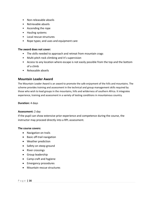- Non-releasable abseils
- Retrievable abseils
- Ascending the rope
- Hauling systems
- Local rescue structures
- Rope types; and uses and equipment care

#### **The award does not cover:**

- The skills needed to approach and retreat from mountain crags
- Multi-pitch rock climbing and it's supervision
- Access to any location where escape is not easily possible from the top and the bottom of a climb
- Releasable abseils

## <span id="page-15-0"></span>**Mountain Leader Award**

The Mountain Leader Award is an award to promote the safe enjoyment of the hills and mountains. The scheme provides training and assessment in the technical and group management skills required by those who wish to lead groups in the mountains, hills and wilderness of southern Africa. It integrates experience, training and assessment in a variety of testing conditions in mountainous country.

#### **Duration:** 4 days

#### **Assessment:** 2 day

If the pupil can show extensive prior experience and competence during the course, the instructor may proceed directly into a RPL assessment.

#### **The course covers:**

- Navigation on trails
- Basic off-trail navigation
- Weather prediction
- Safety on steep ground
- River crossings
- **•** Group leadership
- Camp craft and hygiene
- Emergency procedures
- Mountain rescue structures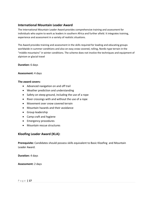# <span id="page-16-0"></span>**International Mountain Leader Award**

The International Mountain Leader Award provides comprehensive training and assessment for individuals who aspire to work as leaders in southern Africa and further afield. It integrates training, experience and assessment in a variety of realistic situations.

The Award provides training and assessment in the skills required for leading and educating groups worldwide in summer conditions and also on easy snow covered, rolling, Nordic type terrain in the "middle mountains" in winter conditions. The scheme does not involve the techniques and equipment of alpinism or glacial travel

**Duration:** 6 days

#### **Assessment:** 4 days

#### **The award covers:**

- Advanced navigation on and off trail
- Weather prediction and understanding
- Safety on steep ground, including the use of a rope
- River crossings with and without the use of a rope
- Movement over snow covered terrain
- Mountain hazards and their avoidance
- Group leadership
- Camp craft and hygiene
- **•** Emergency procedures
- Mountain rescue structures

# **Kloofing Leader Award (KLA):**

**Prerequisite:** Candidates should possess skills equivalent to Basic Kloofing and Mountain Leader Award.

**Duration:** 4 days

**Assessment:** 2 days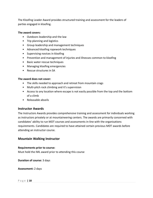The Kloofing Leader Award provides structured training and assessment for the leaders of parties engaged in kloofing.

## **The award covers:**

- Outdoors leadership and the law
- Trip planning and logistics
- Group leadership and management techniques
- Advanced kloofing ropework techniques
- Supervising novices in kloofing
- Prevention and management of injuries and illnesses common to kloofing
- Basic water rescue techniques
- Managing kloofing emergencies
- Rescue structures in SA

## **The award does not cover:**

- The skills needed to approach and retreat from mountain crags
- Multi-pitch rock climbing and it's supervision
- Access to any location where escape is not easily possible from the top and the bottom of a climb
- Releasable abseils

# <span id="page-17-0"></span>**Instructor Awards**

The Instructors Awards provides comprehensive training and assessment for individuals working as instructors privately or at mountaineering centers. The awards are primarily concerned with candidates' ability to run MDT courses and assessments in-line with the organisations requirements. Candidates are required to have attained certain previous MDT awards before attending an instructor course.

# <span id="page-17-1"></span>**Mountain Walking Instructor**

## **Requirements prior to course:**

Must hold the IML award prior to attending this course

**Duration of course:** 3 days

**Assessment:** 2 days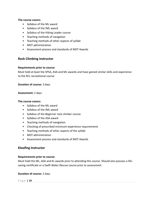#### **The course covers:**

- Syllabus of the ML award
- Syllabus of the IML award
- Syllabus of the Hiking Leader course
- Teaching methods of navigation
- Teaching methods of other aspects of syllabi
- MDT administration
- Assessment process and standards of MDT Awards

## <span id="page-18-0"></span>**Rock Climbing Instructor**

#### **Requirements prior to course:**

Must hold at least the SPSA, ASA and ML awards and have gained similar skills and experience to the RCL recreational course

#### **Duration of course:** 3 days

#### **Assessment:** 2 days

#### **The course covers:**

- Syllabus of the ML award
- Syllabus of the IML award
- Syllabus of the Beginner rock climber course
- Syllabus of the ASA award
- Teaching methods of navigation
- Checking of prescribed minimum experience requirements
- Teaching methods of other aspects of the syllabi
- MDT administration
- Assessment process and standards of MDT Awards

## **Kloofing Instructor**

#### **Requirements prior to course:**

Must hold the ML, ASA and KL awards prior to attending this course. Should also possess a lifesaving certificate or a Swift Water Rescue course prior to assessment.

## **Duration of course:** 2 days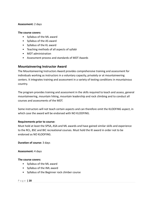## **Assessment:** 2 days

## **The course covers:**

- Syllabus of the ML award
- Syllabus of the AS award
- Syllabus of the KL award
- Teaching methods of all aspects of syllabi
- MDT administration
- Assessment process and standards of MDT Awards

## **Mountaineering Instructor Award**

The Mountaineering Instructors Award provides comprehensive training and assessment for individuals working as instructors in a voluntary capacity, privately or at mountaineering centers. It integrates training and assessment in a variety of testing conditions in mountainous country.

The program provides training and assessment in the skills required to teach and assess, general mountaineering, mountain hiking, mountain leadership and rock climbing and to conduct all courses and assessments of the MDT.

Some instructors will not teach certain aspects and can therefore omit the KLOOFING aspect, in which case the award will be endorsed with NO KLOOFING.

## **Requirements prior to course:**

Must hold at least the SPSA, ASA and ML awards and have gained similar skills and experience to the RCL, BSC and BIC recreational courses. Must hold the KI award in order not to be endorsed as NO KLOOFING.

**Duration of course:** 3 days

## **Assessment:** 4 days

## **The course covers:**

- Syllabus of the ML award
- Syllabus of the IML award
- Syllabus of the Beginner rock climber course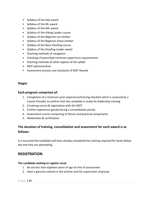- Syllabus of the ASA award
- Syllabus of the ML award
- Syllabus of the IML award
- Syllabus of the Hiking Leader course
- Syllabus of the Beginner Ice-climber
- Syllabus of the Beginner Snow-climber
- Syllabus of the Basic Kloofing course
- Syllabus of the Kloofing Leader award
- Teaching methods of navigation
- Checking of prescribed minimum experience requirements
- Teaching methods of other aspects of the syllabi
- MDT administration
- Assessment process and standards of MDT Awards

# <span id="page-20-0"></span>**Stages**

## <span id="page-20-1"></span>**Each program comprises of:**

- 1. Completion of a minimum prior experience/training checklist which is assessed by a Course Provider to confirm that the candidate is ready for leadership training
- 2. A training course & registration with the MDT
- 3. Further experience gained during a consolidation period
- 4. Assessment course comprising of theory and practical components
- 5. Moderation & certification

# <span id="page-20-2"></span>**The duration of training, consolidation and assessment for each award is as follows:**

It is assumed the candidate will have already completed the training required for levels below the one they are attempting.

# <span id="page-20-3"></span>**REGISTRATION**

## **The candidate wishing to register must:**

- 1. Be not less than eighteen years of age at time of assessment
- 2. Have a genuine interest in the activity and the supervision of groups

#### P a g e **| 21**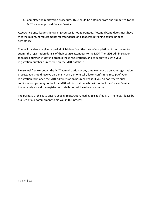3. Complete the registration procedure. This should be obtained from and submitted to the MDT via an approved Course Provider.

Acceptance onto leadership training courses is not guaranteed. Potential Candidates must have met the minimum requirements for attendance on a leadership training course prior to acceptance.

Course Providers are given a period of 14 days from the date of completion of the course, to submit the registration details of their course attendees to the MDT. The MDT administration then has a further 14 days to process these registrations, and to supply you with your registration number as recorded on the MDT database

Please feel free to contact the MDT administration at any time to check up on your registration process. You should receive an e-mail / sms / phone call / letter confirming receipt of your registration form once the MDT administration has received it. If you do not receive such confirmation, you may contact the MDT administration, who will contact the Course Provider immediately should the registration details not yet have been submitted.

<span id="page-21-0"></span>The purpose of this is to ensure speedy registration, leading to satisfied MDT trainees. Please be assured of our commitment to aid you in this process.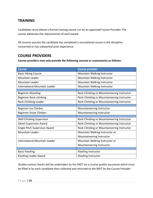# **TRAINING**

Candidates must attend a formal training course run by an approved Course Provider. The course addresses the requirements of each award.

All courses assume the candidate has completed a recreational course in the discipline concerned or has substantial prior experience.

# <span id="page-22-0"></span>**COURSE PROVIDERS**

**Course providers may only provide the following courses or assessments as follows:**

| <b>Course</b>                   | <b>Course provider</b>                     |  |
|---------------------------------|--------------------------------------------|--|
| <b>Basic Hiking Course</b>      | Mountain Walking Instructor                |  |
| <b>Mountain Leader</b>          | Mountain Walking Instructor                |  |
| <b>Mountain Leader</b>          | Mountain Walking Instructor                |  |
| International Mountain Leader   | Mountain Walking Instructor                |  |
|                                 |                                            |  |
| <b>Beginner Abseiling</b>       | Rock Climbing or Mountaineering Instructor |  |
| Beginner Rock climbing          | Rock Climbing or Mountaineering Instructor |  |
| <b>Rock Climbing Leader</b>     | Rock Climbing or Mountaineering Instructor |  |
|                                 |                                            |  |
| Beginner Ice Climber            | Mountaineering Instructor                  |  |
| <b>Beginner Snow Climber</b>    | Mountaineering Instructor                  |  |
|                                 |                                            |  |
| <b>Wall Climbing Supervisor</b> | Rock Climbing or Mountaineering Instructor |  |
| <b>Abseil Supervisor Award</b>  | Rock Climbing or Mountaineering Instructor |  |
| Single Pitch Supervisor Award   | Rock Climbing or Mountaineering Instructor |  |
| <b>Mountain Leader</b>          | Mountain Walking Instructor or             |  |
|                                 | Mountaineering Instructor                  |  |
| International Mountain Leader   | Mountain Walking Instructor or             |  |
|                                 | Mountaineering Instructor                  |  |
|                                 |                                            |  |
| <b>Basic Kloofing</b>           | Kloofing Instructor                        |  |
| Kloofing Leader Award           | Kloofing Instructor                        |  |

Quality control checks will be undertaken by the MDT via a course quality assurance which must be filled in by each candidate then collected and returned to the MDT by the Course Provider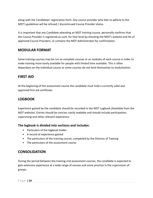along with the Candidates' registration form. Any course provider who fails to adhere to the MDT's guidelines will be refused / discontinued Course Provider status.

It is important that any Candidate attending an MDT training course, personally confirms that the Course Provider is registered as such, for that level by checking the MDT's website and list of approved Course Providers, or contacts the MDT Administrator for confirmation.

# <span id="page-23-0"></span>**MODULAR FORMAT**

Some training courses may be run as complete courses or as modules of each course in order to make training more easily available for people with limited time available. This is often dependant on the individual course as some courses do not lend themselves to modulisation.

# <span id="page-23-1"></span>**FIRST AID**

At the beginning of the assessment course the candidate must hold a currently valid and approved first aid certificate.

# <span id="page-23-2"></span>**LOGBOOK**

Experience gained by the candidate should be recorded in the MDT Logbook (Available from the MDT website). Entries should be concise, easily readable and should include participation, supervising and other relevant experience.

# <span id="page-23-3"></span>**The logbook is divided into sections and includes:**

- Particulars of the logbook holder
- A record of experience gained
- The particulars of the training course, completed by the Director of Training
- The particulars of the assessment course

# <span id="page-23-4"></span>**CONSOLIDATION**

During the period between the training and assessment courses, the candidate is expected to gain extensive experience at a wide range of venues and some practice in the supervision of groups.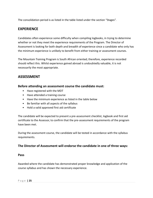The consolidation period is as listed in the table listed under the section "Stages".

# <span id="page-24-0"></span>**EXPERIENCE**

Candidates often experience some difficulty when compiling logbooks, in trying to determine whether or not they meet the experience requirements of the Program. The Director of Assessment is looking for both depth and breadth of experience since a candidate who only has the minimum experience is unlikely to benefit from either training or assessment courses.

The Mountain Training Program is South African oriented; therefore, experience recorded should reflect this. Whilst experience gained abroad is undoubtedly valuable, it is not necessarily the most appropriate.

# <span id="page-24-1"></span>**ASSESSMENT**

# <span id="page-24-2"></span>**Before attending an assessment course the candidate must:**

- Have registered with the MDT
- Have attended a training course
- Have the minimum experience as listed in the table below
- Be familiar with all aspects of the syllabus
- Hold a valid approved first aid certificate

The candidate will be expected to present a pre-assessment checklist, logbook and first aid certificate to the Assessor, to confirm that the pre-assessment requirements of the program have been met.

During the assessment course, the candidate will be tested in accordance with the syllabus requirements.

# <span id="page-24-3"></span>**The Director of Assessment will endorse the candidate in one of three ways:**

## <span id="page-24-4"></span>**Pass**

<span id="page-24-5"></span>Awarded where the candidate has demonstrated proper knowledge and application of the course syllabus and has shown the necessary experience.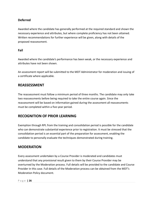# **Deferred**

Awarded where the candidate has generally performed at the required standard and shown the necessary experience and attributes, but where complete proficiency has not been attained. Written recommendations for further experience will be given, along with details of the proposed reassessment.

## <span id="page-25-0"></span>**Fail**

Awarded where the candidate's performance has been weak, or the necessary experience and attributes have not been shown.

An assessment report will be submitted to the MDT Administrator for moderation and issuing of a certificate where applicable.

# <span id="page-25-1"></span>**REASSESSMENT**

The reassessment must follow a minimum period of three months. The candidate may only take two reassessments before being required to take the entire course again. Since the reassessment will be based on information gained during the assessment all reassessments must be completed within a five-year period.

# <span id="page-25-2"></span>**RECOGNITION OF PRIOR LEARNING**

Exemption through RPL from the training and consolidation period is possible for the candidate who can demonstrate substantial experience prior to registration. It must be stressed that the consolidation period is an essential part of the preparation for assessment, enabling the candidate to personally evaluate the techniques demonstrated during training.

# <span id="page-25-3"></span>**MODERATION**

Every assessment undertaken by a Course Provider is moderated and candidates must understand that any provisional result given to them by their Course Provider may be overturned by the Moderation process. Full details will be provided to the candidate and Course Provider in this case. Full details of the Moderation process can be obtained from the MDT's Moderation Policy document.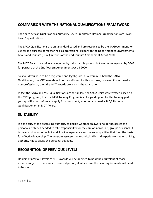# <span id="page-26-0"></span>**COMPARISON WITH THE NATIONAL QUALIFICATIONS FRAMEWORK**

The South African Qualifications Authority (SAQA) registered National Qualifications are "work based" qualifications.

The SAQA Qualifications are unit standard based and are recognised by the SA Government for use for the purpose of registering as a professional guide with the Department of Environmental Affairs and Tourism (DEAT) in terms of the 2nd Tourism Amendment Act of 2000.

The MDT Awards are widely recognized by industry role players, but are not recognised by DEAT for purpose of the 2nd Tourism Amendment Act o f 2000.

So should you wish to be a registered and legal guide in SA, you must hold the SAQA Qualification, the MDT Awards will not be sufficient for this purpose, however if your need is non-professional, then the MDT awards program is the way to go.

In fact the SAQA and MDT qualifications are so similar, (the SAQA Units were written based on the MDT program), that the MDT Training Program is still a good option for the training part of your qualification before you apply for assessment, whether you need a SAQA National Qualification or an MDT Award.

# <span id="page-26-1"></span>**SUITABILITY**

It is the duty of the organising authority to decide whether an award holder possesses the personal attributes needed to take responsibility for the care of individuals, groups or clients. It is the combination of technical skill, wide experience and personal qualities that form the basis for effective leadership. The program assesses the technical skills and experience; the organising authority has to gauge the personal qualities.

# <span id="page-26-2"></span>**RECOGNITION OF PREVIOUS LEVELS**

Holders of previous levels of MDT awards will be deemed to hold the equivalent of those awards, subject to the standard renewal period, at which time the new requirements will need to be met.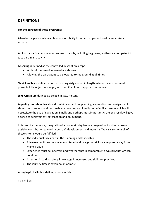# <span id="page-27-0"></span>**DEFINITIONS**

## **For the purpose of these programs:**

**A Leader** is a person who can take responsibility for other people and lead or supervise an activity.

**An instructor** is a person who can teach people, including beginners, so they are competent to take part in an activity.

**Abseiling** is defined as the controlled descent on a rope:

- Without the use of intermediate stances;
- Allowing the participant to be lowered to the ground at all times.

**Short Abseils a**re defined as not exceeding sixty meters in length, where the environment presents little objective danger, with no difficulties of approach or retreat.

**Long Abseils** are defined as exceed in sixty meters.

**A quality mountain day** should contain elements of planning, exploration and navigation. It should be strenuous and reasonably demanding and ideally on unfamiliar terrain which will necessitate the use of navigation. Finally and perhaps most importantly, the end result will give a sense of achievement, satisfaction and enjoyment.

In terms of experience, the quality of a mountain day lies in a range of factors that make a positive contribution towards a person's development and maturity. Typically some or all of these criteria would be fulfilled:

- The individual takes part in the planning and leadership.
- Adverse conditions may be encountered and navigation skills are required away from marked paths.
- Experience must be in terrain and weather that is comparable to typical South African conditions.
- Attention is paid to safety, knowledge is increased and skills are practiced.
- The journey time is seven hours or more.

**A single pitch climb** is defined as one which: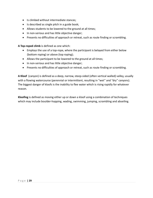- Is climbed without intermediate stances;
- $\bullet$  Is described as single pitch in a guide book;
- Allows students to be lowered to the ground at all times;
- In non-serious and has little objective danger;
- Presents no difficulties of approach or retreat, such as route finding or scrambling.

**A Top-roped climb** is defined as one which:

- Employs the use of a top-rope, where the participant is belayed from either below (bottom roping) or above (top roping);
- Allows the participant to be lowered to the ground at all times;
- In non-serious and has little objective danger;
- Presents no difficulties of approach or retreat, such as route finding or scrambling.

**A Kloof** (canyon) is defined as a deep, narrow, steep-sided (often vertical walled) valley, usually with a flowing watercourse (perennial or intermittent, resulting in "wet" and "dry" canyons). The biggest danger of kloofs is the inability to flee water which is rising rapidly for whatever reason.

<span id="page-28-0"></span>**Kloofing** is defined as moving either up or down a kloof using a combination of techniques which may include boulder-hopping, wading, swimming, jumping, scrambling and abseiling.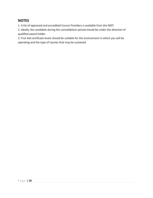# **NOTES**

1. A list of approved and accredited Course Providers is available from the MDT.

2. Ideally, the candidate during the consolidation period should be under the direction of qualified award holder.

<span id="page-29-0"></span>3. First Aid certificate levels should be suitable for the environment in which you will be operating and the type of injuries that may be sustained